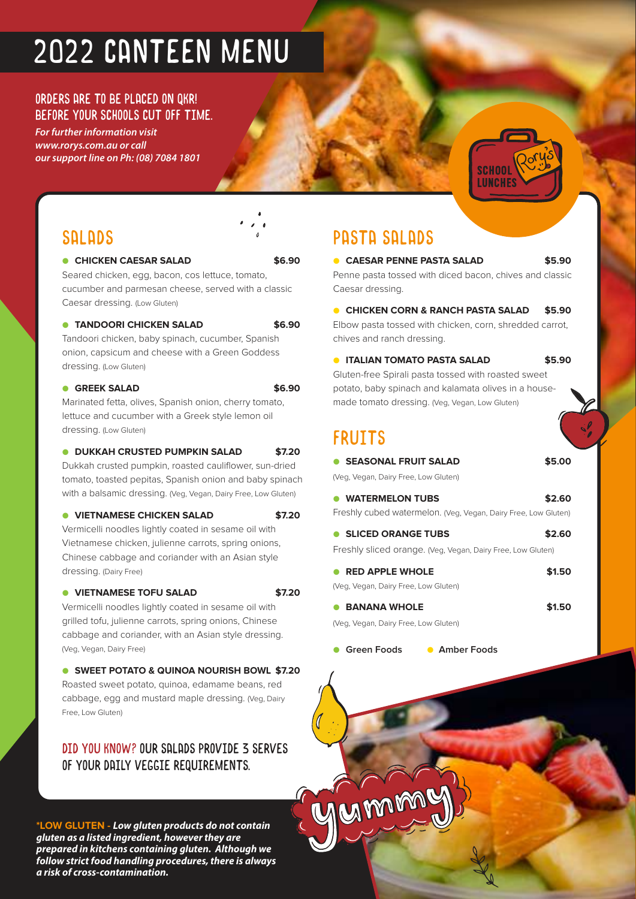# 2022 CANTEEN MENU

### ORDERS ARE TO BE PLACED ON QKR! BEFORE YOUR SCHOOLS CUT OFF TIME.

*For further information visit www.rorys.com.au or call our support line on Ph: (08) 7084 1801*



### SALADS

#### ● **CHICKEN CAESAR SALAD \$6.90**

Seared chicken, egg, bacon, cos lettuce, tomato, cucumber and parmesan cheese, served with a classic Caesar dressing. (Low Gluten)

### ● **TANDOORI CHICKEN SALAD \$6.90**

Tandoori chicken, baby spinach, cucumber, Spanish onion, capsicum and cheese with a Green Goddess dressing. (Low Gluten)

### ● **GREEK SALAD \$6.90**

Marinated fetta, olives, Spanish onion, cherry tomato, lettuce and cucumber with a Greek style lemon oil dressing. (Low Gluten)

### ● **DUKKAH CRUSTED PUMPKIN SALAD \$7.20**

Dukkah crusted pumpkin, roasted cauliflower, sun-dried tomato, toasted pepitas, Spanish onion and baby spinach with a balsamic dressing. (Veg, Vegan, Dairy Free, Low Gluten)

#### ● **VIETNAMESE CHICKEN SALAD \$7.20**

Vermicelli noodles lightly coated in sesame oil with Vietnamese chicken, julienne carrots, spring onions, Chinese cabbage and coriander with an Asian style dressing. (Dairy Free)

#### ● **VIETNAMESE TOFU SALAD \$7.20**

Vermicelli noodles lightly coated in sesame oil with grilled tofu, julienne carrots, spring onions, Chinese cabbage and coriander, with an Asian style dressing. (Veg, Vegan, Dairy Free)

● **SWEET POTATO & QUINOA NOURISH BOWL \$7.20** Roasted sweet potato, quinoa, edamame beans, red cabbage, egg and mustard maple dressing. (Veg, Dairy Free, Low Gluten)

### DID YOU KNOW? Our salads provide 3 serves of your daily veggie requirements.

**\*LOW GLUTEN - Low gluten products do not contain gluten as a listed ingredient, however they are prepared in kitchens containing gluten. Although we follow strict food handling procedures, there is always a risk of cross-contamination.** 

### PASTA SALADS

● **CAESAR PENNE PASTA SALAD \$5.90** Penne pasta tossed with diced bacon, chives and classic Caesar dressing.

#### ● **CHICKEN CORN & RANCH PASTA SALAD \$5.90**

Elbow pasta tossed with chicken, corn, shredded carrot, chives and ranch dressing.

● **ITALIAN TOMATO PASTA SALAD \$5.90**

Gluten-free Spirali pasta tossed with roasted sweet potato, baby spinach and kalamata olives in a housemade tomato dressing. (Veg, Vegan, Low Gluten)

### FRUITS

| <b>SEASONAL FRUIT SALAD</b><br>$\bullet$ | \$5.00 |
|------------------------------------------|--------|
| (Veg, Vegan, Dairy Free, Low Gluten)     |        |

| • WATERMELON TUBS                                              | \$2.60 |
|----------------------------------------------------------------|--------|
| Freshly cubed watermelon. (Veg, Vegan, Dairy Free, Low Gluten) |        |
| <b>SLICED ORANGE TURS</b>                                      | \$260  |

Freshly sliced orange. (Veg, Vegan, Dairy Free, Low Gluten)

| $\bullet$ RED APPLE WHOLE            | \$1.50 |
|--------------------------------------|--------|
| (Veg, Vegan, Dairy Free, Low Gluten) |        |
| ● BANANA WHOLE                       | \$1.50 |

(Veg, Vegan, Dairy Free, Low Gluten)

Cmm

● **Green Foods** ● **Amber Foods**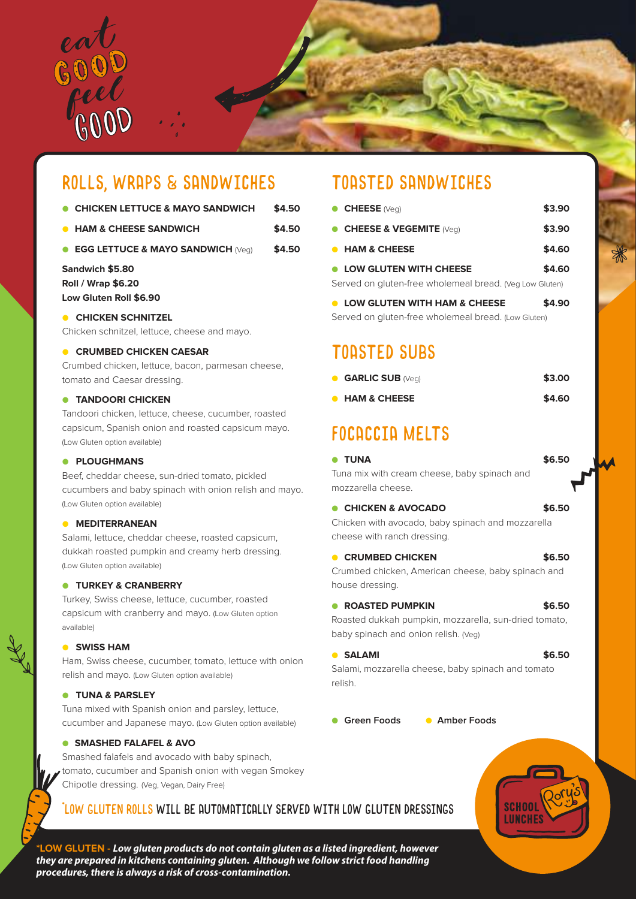

### ROLLS, WRAPS & SANDWICHES

| <b>CHICKEN LETTUCE &amp; MAYO SANDWICH</b> | \$4.50 |
|--------------------------------------------|--------|
|                                            |        |

- **HAM & CHEESE SANDWICH \$4.50**
- **EGG LETTUCE & MAYO SANDWICH** (Veg) **\$4.50**

### **Sandwich \$5.80 Roll / Wrap \$6.20 Low Gluten Roll \$6.90**

### ● **CHICKEN SCHNITZEL**

Chicken schnitzel, lettuce, cheese and mayo.

#### **CRUMBED CHICKEN CAESAR**

Crumbed chicken, lettuce, bacon, parmesan cheese, tomato and Caesar dressing.

#### ● **TANDOORI CHICKEN**

Tandoori chicken, lettuce, cheese, cucumber, roasted capsicum, Spanish onion and roasted capsicum mayo. (Low Gluten option available)

#### ● **PLOUGHMANS**

Beef, cheddar cheese, sun-dried tomato, pickled cucumbers and baby spinach with onion relish and mayo. (Low Gluten option available)

#### ● **MEDITERRANEAN**

Salami, lettuce, cheddar cheese, roasted capsicum, dukkah roasted pumpkin and creamy herb dressing. (Low Gluten option available)

#### ● **TURKEY & CRANBERRY**

Turkey, Swiss cheese, lettuce, cucumber, roasted capsicum with cranberry and mayo. (Low Gluten option available)

#### ● **SWISS HAM**

Ham, Swiss cheese, cucumber, tomato, lettuce with onion relish and mayo. (Low Gluten option available)

### ● **TUNA & PARSLEY**

Tuna mixed with Spanish onion and parsley, lettuce, cucumber and Japanese mayo. (Low Gluten option available)

#### ● **SMASHED FALAFEL & AVO**

Smashed falafels and avocado with baby spinach, tomato, cucumber and Spanish onion with vegan Smokey Chipotle dressing. (Veg, Vegan, Dairy Free)

### TOASTED SANDWICHES

| $\bullet$ CHEESE (Veq)                                  | \$3.90 |
|---------------------------------------------------------|--------|
| <b>CHEESE &amp; VEGEMITE (Veg)</b>                      | \$3.90 |
| <b>• HAM &amp; CHEESE</b>                               | \$4.60 |
| • LOW GLUTEN WITH CHEESE                                | \$4.60 |
| Served on gluten-free wholemeal bread. (Veg Low Gluten) |        |
| <b>LOW GLUTEN WITH HAM &amp; CHEESE</b><br>$\bullet$    | \$4.90 |

Served on gluten-free wholemeal bread. (Low Gluten)

### TOASTED SUBS

|           | <b>GARLIC SUB (Veg)</b> | \$3.00 |
|-----------|-------------------------|--------|
| $\bullet$ | <b>HAM &amp; CHEESE</b> | \$4.60 |

### FOCACCIA MELTS

### ● **TUNA \$6.50**

Tuna mix with cream cheese, baby spinach and mozzarella cheese.

### ● **CHICKEN & AVOCADO \$6.50**

Chicken with avocado, baby spinach and mozzarella cheese with ranch dressing.

#### ● **CRUMBED CHICKEN \$6.50**

Crumbed chicken, American cheese, baby spinach and house dressing.

### ● **ROASTED PUMPKIN \$6.50**

Roasted dukkah pumpkin, mozzarella, sun-dried tomato, baby spinach and onion relish. (Veg)

#### ● **SALAMI \$6.50**

Salami, mozzarella cheese, baby spinach and tomato relish.

● **Green Foods** ● **Amber Foods**



**\*LOW GLUTEN - Low gluten products do not contain gluten as a listed ingredient, however they are prepared in kitchens containing gluten. Although we follow strict food handling procedures, there is always a risk of cross-contamination.**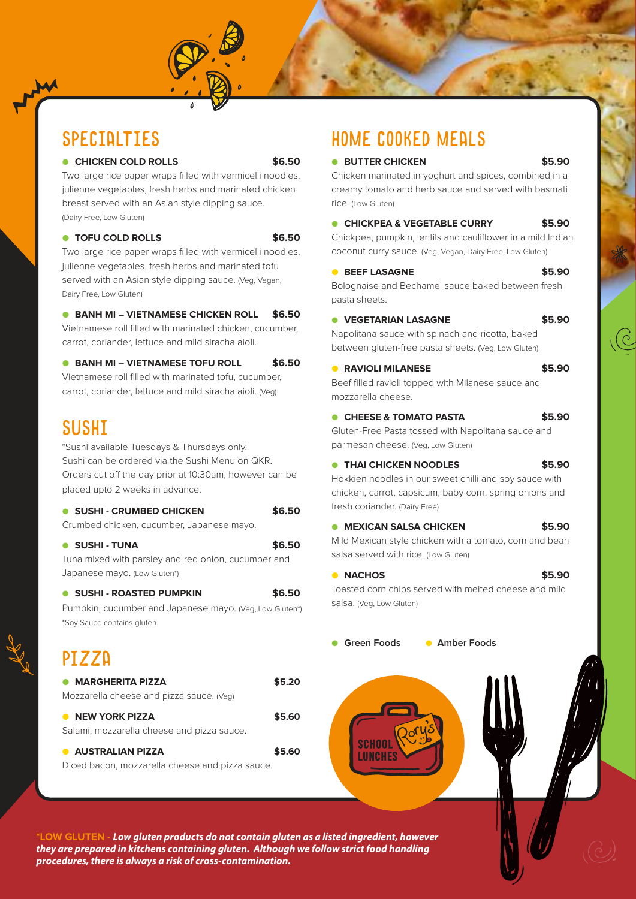### SPECIALTIES

#### ● **CHICKEN COLD ROLLS \$6.50**

Two large rice paper wraps filled with vermicelli noodles, julienne vegetables, fresh herbs and marinated chicken breast served with an Asian style dipping sauce. (Dairy Free, Low Gluten)

#### ● **TOFU COLD ROLLS \$6.50**

Two large rice paper wraps filled with vermicelli noodles, julienne vegetables, fresh herbs and marinated tofu served with an Asian style dipping sauce. (Veg, Vegan, Dairy Free, Low Gluten)

● **BANH MI – VIETNAMESE CHICKEN ROLL \$6.50**  Vietnamese roll filled with marinated chicken, cucumber, carrot, coriander, lettuce and mild siracha aioli.

● **BANH MI – VIETNAMESE TOFU ROLL \$6.50** Vietnamese roll filled with marinated tofu, cucumber, carrot, coriander, lettuce and mild siracha aioli. (Veg)

### SUSHI

\*Sushi available Tuesdays & Thursdays only. Sushi can be ordered via the Sushi Menu on QKR. Orders cut off the day prior at 10:30am, however can be placed upto 2 weeks in advance.

| • SUSHI - CRUMBED CHICKEN                 | \$6.50 |
|-------------------------------------------|--------|
| Crumbed chicken, cucumber, Japanese mayo. |        |

● **SUSHI - TUNA \$6.50** Tuna mixed with parsley and red onion, cucumber and Japanese mayo. (Low Gluten\*)

● **SUSHI - ROASTED PUMPKIN \$6.50** Pumpkin, cucumber and Japanese mayo. (Veg, Low Gluten\*)

\*Soy Sauce contains gluten.

## PIZZA

| <b>• MARGHERITA PIZZA</b>                                                        | \$5.20 |
|----------------------------------------------------------------------------------|--------|
| Mozzarella cheese and pizza sauce. (Veg)                                         |        |
| <b>NEW YORK PIZZA</b><br>$\bullet$<br>Salami, mozzarella cheese and pizza sauce. | \$5.60 |
| <b>AUSTRALIAN PIZZA</b>                                                          | \$5.60 |
| Diced bacon, mozzarella cheese and pizza sauce.                                  |        |

### HOME COOKED MEALS

● **BUTTER CHICKEN \$5.90**

Chicken marinated in yoghurt and spices, combined in a creamy tomato and herb sauce and served with basmati rice. (Low Gluten)

### ● **CHICKPEA & VEGETABLE CURRY \$5.90**

Chickpea, pumpkin, lentils and cauliflower in a mild Indian coconut curry sauce. (Veg, Vegan, Dairy Free, Low Gluten)

#### ● **BEEF LASAGNE \$5.90**

Bolognaise and Bechamel sauce baked between fresh pasta sheets.

### ● **VEGETARIAN LASAGNE \$5.90**

Napolitana sauce with spinach and ricotta, baked between gluten-free pasta sheets. (Veg, Low Gluten)

### ● **RAVIOLI MILANESE \$5.90**

Beef filled ravioli topped with Milanese sauce and mozzarella cheese.

● **CHEESE & TOMATO PASTA \$5.90**

Gluten-Free Pasta tossed with Napolitana sauce and parmesan cheese. (Veg, Low Gluten)

### ● **THAI CHICKEN NOODLES \$5.90**

Hokkien noodles in our sweet chilli and soy sauce with chicken, carrot, capsicum, baby corn, spring onions and fresh coriander. (Dairy Free)

### ● **MEXICAN SALSA CHICKEN \$5.90**

Mild Mexican style chicken with a tomato, corn and bean salsa served with rice. (Low Gluten)

#### ● **NACHOS \$5.90**

Toasted corn chips served with melted cheese and mild salsa. (Veg, Low Gluten)

● **Green Foods** ● **Amber Foods**

**\*LOW GLUTEN - Low gluten products do not contain gluten as a listed ingredient, however they are prepared in kitchens containing gluten. Although we follow strict food handling procedures, there is always a risk of cross-contamination.**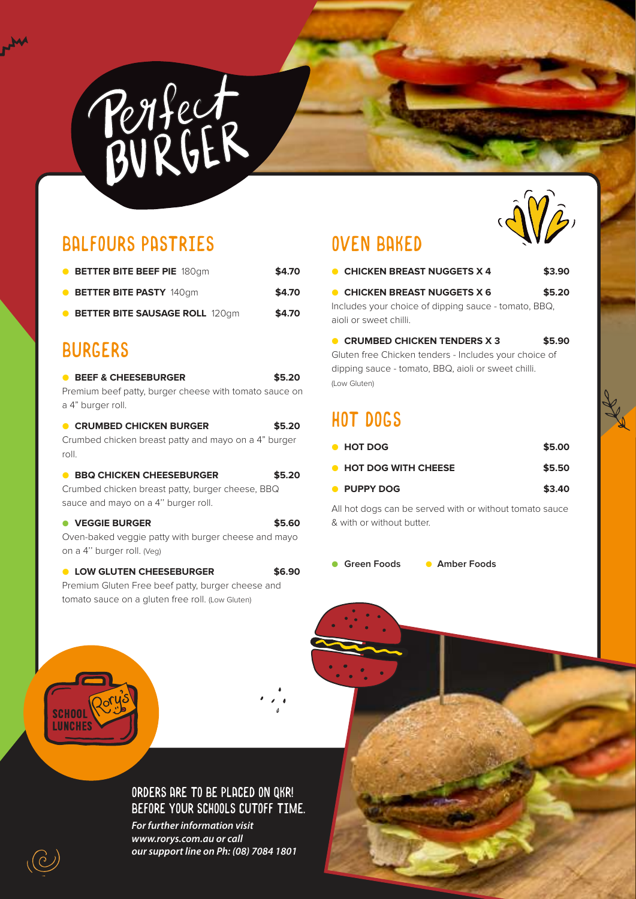

### BALFOURS PASTRIES

| <b>• BETTER BITE BEEF PIE</b> 180gm     | \$4.70 |
|-----------------------------------------|--------|
| <b>• BETTER BITE PASTY</b> 140qm        | \$4.70 |
| <b>• BETTER BITE SAUSAGE ROLL 120gm</b> | \$4.70 |

### BURGERS

 $M_{\textrm{th}}$ 

| <b>BEEF &amp; CHEESEBURGER</b><br>Premium beef patty, burger cheese with tomato sauce on<br>a 4" burger roll.              | \$5.20 |
|----------------------------------------------------------------------------------------------------------------------------|--------|
| <b>CRUMBED CHICKEN BURGER</b><br>Crumbed chicken breast patty and mayo on a 4" burger<br>roll.                             | \$5.20 |
| <b>BBO CHICKEN CHEESEBURGER</b><br>Crumbed chicken breast patty, burger cheese, BBQ<br>sauce and mayo on a 4" burger roll. | \$5.20 |
| <b>VEGGIE BURGER</b><br>Oven-baked veggie patty with burger cheese and mayo<br>on a 4" burger roll. (Veg)                  | \$5.60 |

● **LOW GLUTEN CHEESEBURGER \$6.90** Premium Gluten Free beef patty, burger cheese and tomato sauce on a gluten free roll. (Low Gluten)

### OVEN BAKED



| • HOT DOG                    | \$5.00 |
|------------------------------|--------|
| <b>• HOT DOG WITH CHEESE</b> | \$5.50 |
| • PUPPY DOG                  | \$3.40 |

All hot dogs can be served with or without tomato sauce & with or without butter.

● Green Foods ● Amber Foods





### ORDERS ARE TO BE PLACED ON QKR! BEFORE YOUR SCHOOLS CUTOFF TIME.

*For further information visit www.rorys.com.au or call our support line on Ph: (08) 7084 1801*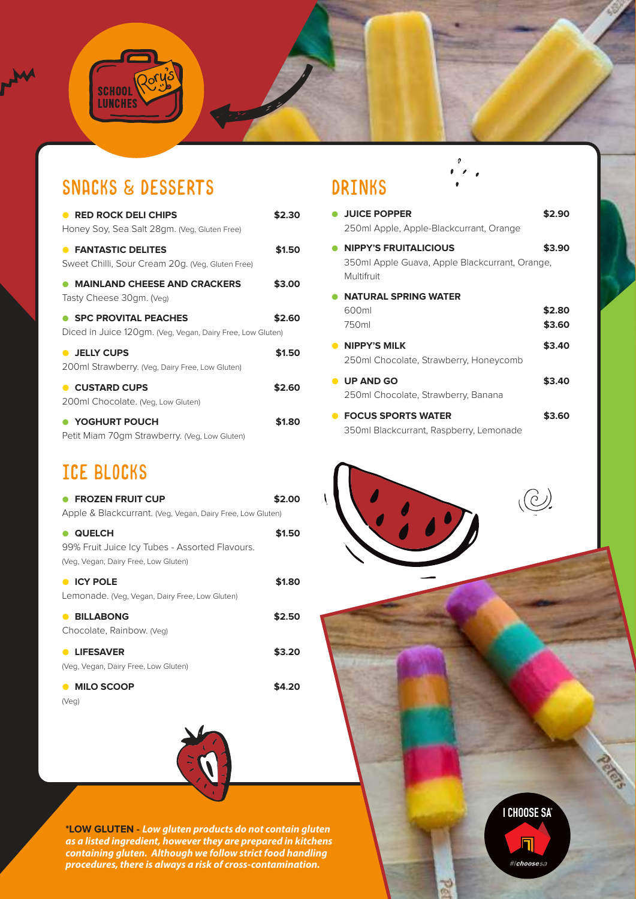### SNACKS & DESSERTS

 $\overline{\mathsf{Q}}\mathsf{o}$ 

SCHOOL

M

| <b>RED ROCK DELI CHIPS</b><br>Honey Soy, Sea Salt 28gm. (Veg, Gluten Free)                | \$2.30 |
|-------------------------------------------------------------------------------------------|--------|
| <b>• FANTASTIC DELITES</b><br>Sweet Chilli, Sour Cream 20g. (Veg, Gluten Free)            | \$1.50 |
| <b>MAINLAND CHEESE AND CRACKERS</b><br>Tasty Cheese 30gm. (Veg)                           | \$3.00 |
| <b>SPC PROVITAL PEACHES</b><br>Diced in Juice 120gm. (Veg, Vegan, Dairy Free, Low Gluten) | \$2.60 |
| • JELLY CUPS<br>200ml Strawberry. (Veg, Dairy Free, Low Gluten)                           | \$1.50 |
| <b>CUSTARD CUPS</b><br>200ml Chocolate. (Veg, Low Gluten)                                 | \$2.60 |
| YOGHURT POUCH<br>Petit Miam 70gm Strawberry. (Veg, Low Gluten)                            | \$1.80 |

### ICE BLOCKS

| <b>FROZEN FRUIT CUP</b><br>Apple & Blackcurrant. (Veg, Vegan, Dairy Free, Low Gluten)                   | \$2.00 |
|---------------------------------------------------------------------------------------------------------|--------|
| <b>QUELCH</b><br>99% Fruit Juice Icy Tubes - Assorted Flavours.<br>(Veg, Vegan, Dairy Free, Low Gluten) | \$1.50 |
| <b>CY POLE</b><br>Lemonade. (Veg. Vegan, Dairy Free, Low Gluten)                                        | \$1.80 |
| <b>BILLABONG</b><br>$\bullet$<br>Chocolate, Rainbow. (Veg)                                              | \$2.50 |
| <b>LIFESAVER</b><br>$\bullet$<br>(Veg, Vegan, Dairy Free, Low Gluten)                                   | \$3.20 |
| <b>MILO SCOOP</b><br>$\bullet$                                                                          |        |

(Veg)



**\*LOW GLUTEN - Low gluten products do not contain gluten as a listed ingredient, however they are prepared in kitchens containing gluten. Although we follow strict food handling procedures, there is always a risk of cross-contamination.** 

### DRINKS

|           | <b>JUICE POPPER</b><br>250ml Apple, Apple-Blackcurrant, Orange                               | \$2.90           |
|-----------|----------------------------------------------------------------------------------------------|------------------|
|           | <b>NIPPY'S FRUITALICIOUS</b><br>350ml Apple Guava, Apple Blackcurrant, Orange,<br>Multifruit | \$3.90           |
|           | <b>NATURAL SPRING WATER</b><br>600ml<br>750ml                                                | \$2.80<br>\$3.60 |
|           | • NIPPY'S MILK<br>250ml Chocolate, Strawberry, Honeycomb                                     | \$3.40           |
|           | <b>UP AND GO</b><br>250ml Chocolate, Strawberry, Banana                                      | \$3.40           |
| $\bullet$ | <b>FOCUS SPORTS WATER</b><br>350ml Blackcurrant, Raspberry, Lemonade                         | \$3.60           |

 $\mathfrak o$ 





 $\frac{1}{2}$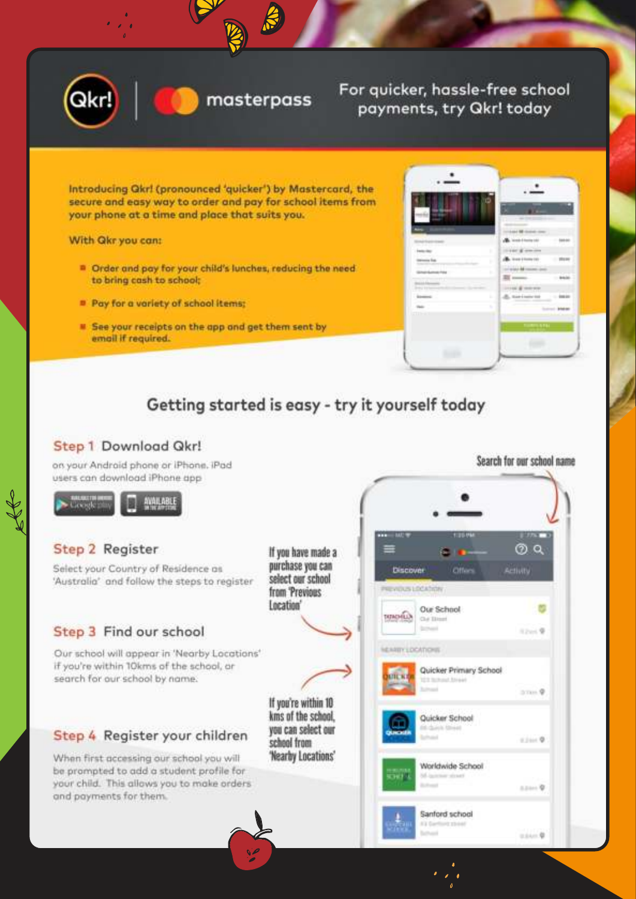



### For quicker, hassle-free school payments, try Qkr! today

Introducing Qkr! (pronounced 'quicker') by Mastercard, the secure and easy way to order and pay for school items from your phone at a time and place that suits you.

With Qkr you can:

- <sup>B</sup> Order and pay for your child's lunches, reducing the need to bring cash to school:
- Pay for a variety of school items;
- See your receipts on the app and get them sent by email if required.

| н                    |                                       |           |
|----------------------|---------------------------------------|-----------|
|                      | 1844 MI Gold Corp.                    |           |
| ÷                    | <b>B</b> , look-finite tall           |           |
| <b>Interior</b><br>۱ | THE R OWNER                           |           |
| telesis ka<br>٠      | Week Elements                         |           |
| ×                    | of an internal definitions of the co- |           |
|                      |                                       |           |
|                      | HE & HOUSE                            |           |
| ٠                    | di, taxisment                         | $-40440$  |
| v.<br><b>STEPS</b>   |                                       | $-144444$ |
|                      | <b>LIGHTER</b>                        |           |
|                      |                                       |           |
|                      |                                       |           |

### Getting started is easy - try it yourself today

### Step 1 Download Qkr!

on your Android phone or iPhone. iPad users can download iPhone app



### Step 2 Register

Select your Country of Residence as 'Australia' and follow the steps to reaister

### Step 3 Find our school

Our school will appear in 'Nearby Locations' if you're within 10kms of the school, or search for our school by name.

### Step 4 Register your children

When first accessing our school you will be prompted to add a student profile for your child. This allows you to make orders and payments for them.

If you have made a purchase you can select our school from 'Previous Location'

If you're within 10 kms of the school. you can select our scheol from 'Nearby Locations'



Search for our school name